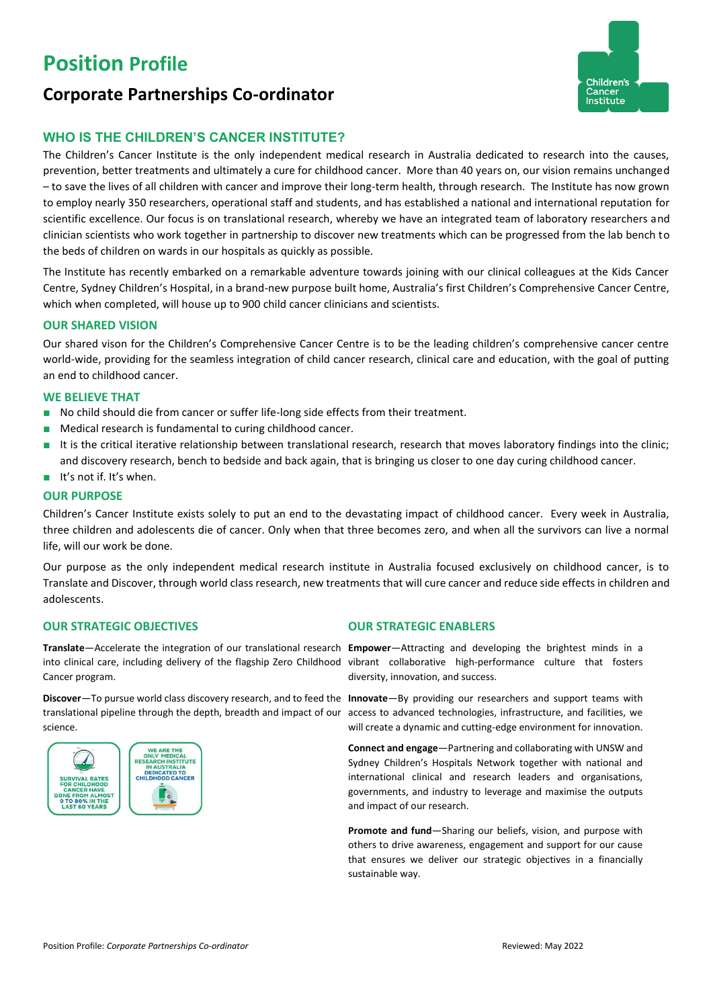# **Position Profile**





# **WHO IS THE CHILDREN'S CANCER INSTITUTE?**

The Children's Cancer Institute is the only independent medical research in Australia dedicated to research into the causes, prevention, better treatments and ultimately a cure for childhood cancer. More than 40 years on, our vision remains unchanged – to save the lives of all children with cancer and improve their long-term health, through research. The Institute has now grown to employ nearly 350 researchers, operational staff and students, and has established a national and international reputation for scientific excellence. Our focus is on translational research, whereby we have an integrated team of laboratory researchers and clinician scientists who work together in partnership to discover new treatments which can be progressed from the lab bench to the beds of children on wards in our hospitals as quickly as possible.

The Institute has recently embarked on a remarkable adventure towards joining with our clinical colleagues at the Kids Cancer Centre, Sydney Children's Hospital, in a brand-new purpose built home, Australia's first Children's Comprehensive Cancer Centre, which when completed, will house up to 900 child cancer clinicians and scientists.

### **OUR SHARED VISION**

Our shared vison for the Children's Comprehensive Cancer Centre is to be the leading children's comprehensive cancer centre world-wide, providing for the seamless integration of child cancer research, clinical care and education, with the goal of putting an end to childhood cancer.

### **WE BELIEVE THAT**

- No child should die from cancer or suffer life-long side effects from their treatment.
- Medical research is fundamental to curing childhood cancer.
- It is the critical iterative relationship between translational research, research that moves laboratory findings into the clinic; and discovery research, bench to bedside and back again, that is bringing us closer to one day curing childhood cancer.
- It's not if. It's when.

### **OUR PURPOSE**

Children's Cancer Institute exists solely to put an end to the devastating impact of childhood cancer. Every week in Australia, three children and adolescents die of cancer. Only when that three becomes zero, and when all the survivors can live a normal life, will our work be done.

Our purpose as the only independent medical research institute in Australia focused exclusively on childhood cancer, is to Translate and Discover, through world class research, new treatments that will cure cancer and reduce side effects in children and adolescents.

# **OUR STRATEGIC OBJECTIVES OUR STRATEGIC ENABLERS**

**Translate**—Accelerate the integration of our translational research **Empower**—Attracting and developing the brightest minds in a into clinical care, including delivery of the flagship Zero Childhood vibrant collaborative high-performance culture that fosters Cancer program.

**Discover**—To pursue world class discovery research, and to feed the **Innovate**—By providing our researchers and support teams with translational pipeline through the depth, breadth and impact of our access to advanced technologies, infrastructure, and facilities, we science.



diversity, innovation, and success.

will create a dynamic and cutting-edge environment for innovation.

**Connect and engage**—Partnering and collaborating with UNSW and Sydney Children's Hospitals Network together with national and international clinical and research leaders and organisations, governments, and industry to leverage and maximise the outputs and impact of our research.

**Promote and fund**—Sharing our beliefs, vision, and purpose with others to drive awareness, engagement and support for our cause that ensures we deliver our strategic objectives in a financially sustainable way.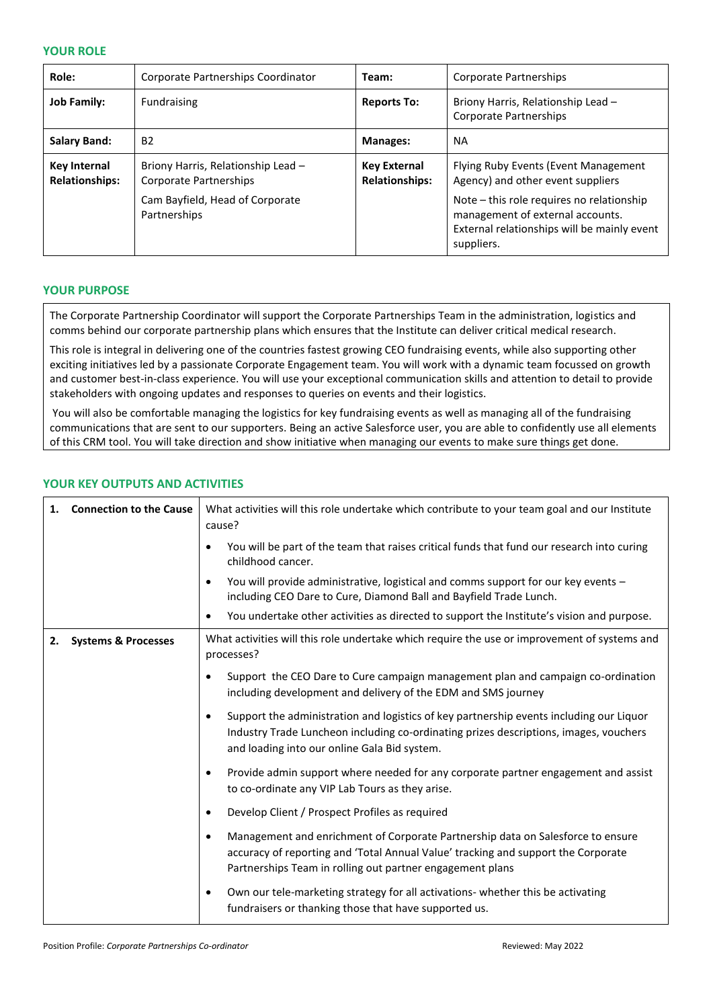### **YOUR ROLE**

| Role:                                 | Corporate Partnerships Coordinator                           | Team:                                        | Corporate Partnerships                                                                                                                     |
|---------------------------------------|--------------------------------------------------------------|----------------------------------------------|--------------------------------------------------------------------------------------------------------------------------------------------|
| <b>Job Family:</b>                    | Fundraising                                                  | <b>Reports To:</b>                           | Briony Harris, Relationship Lead -<br>Corporate Partnerships                                                                               |
| <b>Salary Band:</b>                   | <b>B2</b>                                                    | Manages:                                     | <b>NA</b>                                                                                                                                  |
| Key Internal<br><b>Relationships:</b> | Briony Harris, Relationship Lead -<br>Corporate Partnerships | <b>Key External</b><br><b>Relationships:</b> | Flying Ruby Events (Event Management<br>Agency) and other event suppliers                                                                  |
|                                       | Cam Bayfield, Head of Corporate<br>Partnerships              |                                              | Note – this role requires no relationship<br>management of external accounts.<br>External relationships will be mainly event<br>suppliers. |

### **YOUR PURPOSE**

The Corporate Partnership Coordinator will support the Corporate Partnerships Team in the administration, logistics and comms behind our corporate partnership plans which ensures that the Institute can deliver critical medical research.

This role is integral in delivering one of the countries fastest growing CEO fundraising events, while also supporting other exciting initiatives led by a passionate Corporate Engagement team. You will work with a dynamic team focussed on growth and customer best-in-class experience. You will use your exceptional communication skills and attention to detail to provide stakeholders with ongoing updates and responses to queries on events and their logistics.

You will also be comfortable managing the logistics for key fundraising events as well as managing all of the fundraising communications that are sent to our supporters. Being an active Salesforce user, you are able to confidently use all elements of this CRM tool. You will take direction and show initiative when managing our events to make sure things get done.

### **YOUR KEY OUTPUTS AND ACTIVITIES**

| 1. | <b>Connection to the Cause</b> | What activities will this role undertake which contribute to your team goal and our Institute<br>cause?                                                                                                                                        |  |
|----|--------------------------------|------------------------------------------------------------------------------------------------------------------------------------------------------------------------------------------------------------------------------------------------|--|
|    |                                | You will be part of the team that raises critical funds that fund our research into curing<br>childhood cancer.                                                                                                                                |  |
|    |                                | You will provide administrative, logistical and comms support for our key events -<br>$\bullet$<br>including CEO Dare to Cure, Diamond Ball and Bayfield Trade Lunch.                                                                          |  |
|    |                                | You undertake other activities as directed to support the Institute's vision and purpose.<br>$\bullet$                                                                                                                                         |  |
| 2. | <b>Systems &amp; Processes</b> | What activities will this role undertake which require the use or improvement of systems and<br>processes?                                                                                                                                     |  |
|    |                                | Support the CEO Dare to Cure campaign management plan and campaign co-ordination<br>٠<br>including development and delivery of the EDM and SMS journey                                                                                         |  |
|    |                                | Support the administration and logistics of key partnership events including our Liquor<br>٠<br>Industry Trade Luncheon including co-ordinating prizes descriptions, images, vouchers<br>and loading into our online Gala Bid system.          |  |
|    |                                | Provide admin support where needed for any corporate partner engagement and assist<br>$\bullet$<br>to co-ordinate any VIP Lab Tours as they arise.                                                                                             |  |
|    |                                | Develop Client / Prospect Profiles as required<br>٠                                                                                                                                                                                            |  |
|    |                                | Management and enrichment of Corporate Partnership data on Salesforce to ensure<br>$\bullet$<br>accuracy of reporting and 'Total Annual Value' tracking and support the Corporate<br>Partnerships Team in rolling out partner engagement plans |  |
|    |                                | Own our tele-marketing strategy for all activations- whether this be activating<br>٠<br>fundraisers or thanking those that have supported us.                                                                                                  |  |